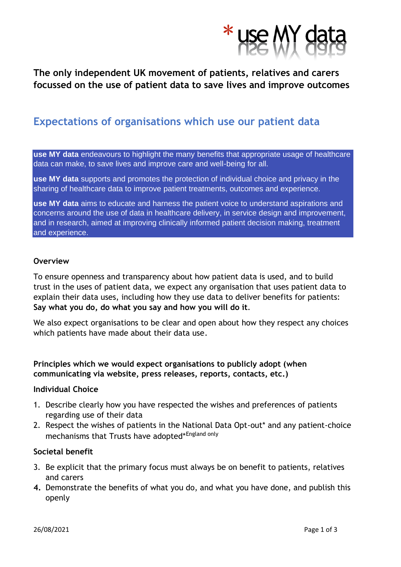

## **The only independent UK movement of patients, relatives and carers focussed on the use of patient data to save lives and improve outcomes**

# **Expectations of organisations which use our patient data**

**use MY data** endeavours to highlight the many benefits that appropriate usage of healthcare data can make, to save lives and improve care and well-being for all.

**use MY data** supports and promotes the protection of individual choice and privacy in the sharing of healthcare data to improve patient treatments, outcomes and experience.

**use MY data** aims to educate and harness the patient voice to understand aspirations and concerns around the use of data in healthcare delivery, in service design and improvement, and in research, aimed at improving clinically informed patient decision making, treatment and experience.

#### **Overview**

To ensure openness and transparency about how patient data is used, and to build trust in the uses of patient data, we expect any organisation that uses patient data to explain their data uses, including how they use data to deliver benefits for patients: **Say what you do, do what you say and how you will do it**.

We also expect organisations to be clear and open about how they respect any choices which patients have made about their data use.

**Principles which we would expect organisations to publicly adopt (when communicating via website, press releases, reports, contacts, etc.)**

#### **Individual Choice**

- 1. Describe clearly how you have respected the wishes and preferences of patients regarding use of their data
- 2. Respect the wishes of patients in the National Data Opt-out\* and any patient-choice mechanisms that Trusts have adopted\*England only

### **Societal benefit**

- 3. Be explicit that the primary focus must always be on benefit to patients, relatives and carers
- **4.** Demonstrate the benefits of what you do, and what you have done, and publish this openly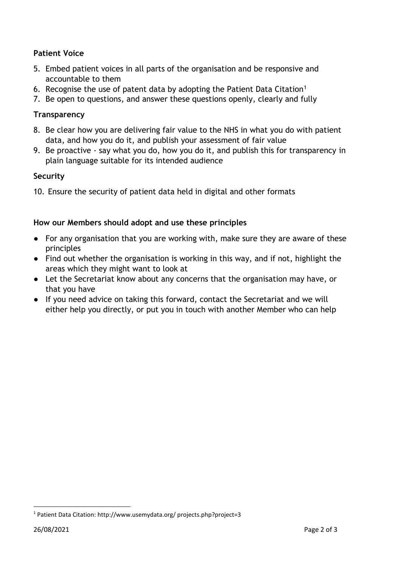### **Patient Voice**

- 5. Embed patient voices in all parts of the organisation and be responsive and accountable to them
- 6. Recognise the use of patent data by adopting the Patient Data Citation<sup>1</sup>
- 7. Be open to questions, and answer these questions openly, clearly and fully

### **Transparency**

- 8. Be clear how you are delivering fair value to the NHS in what you do with patient data, and how you do it, and publish your assessment of fair value
- 9. Be proactive say what you do, how you do it, and publish this for transparency in plain language suitable for its intended audience

### **Security**

10. Ensure the security of patient data held in digital and other formats

### **How our Members should adopt and use these principles**

- For any organisation that you are working with, make sure they are aware of these principles
- Find out whether the organisation is working in this way, and if not, highlight the areas which they might want to look at
- Let the Secretariat know about any concerns that the organisation may have, or that you have
- If you need advice on taking this forward, contact the Secretariat and we will either help you directly, or put you in touch with another Member who can help

<sup>1</sup> Patient Data Citation: http://www.usemydata.org/ projects.php?project=3